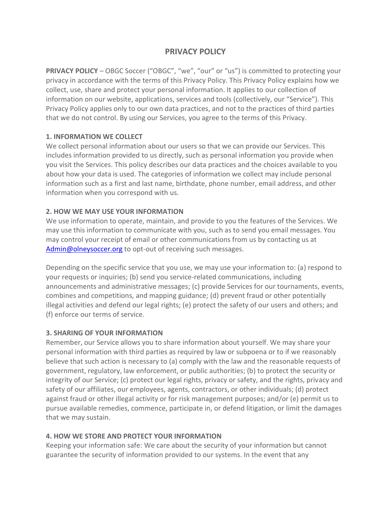# **PRIVACY POLICY**

**PRIVACY POLICY** – OBGC Soccer ("OBGC", "we", "our" or "us") is committed to protecting your privacy in accordance with the terms of this Privacy Policy. This Privacy Policy explains how we collect, use, share and protect your personal information. It applies to our collection of information on our website, applications, services and tools (collectively, our "Service"). This Privacy Policy applies only to our own data practices, and not to the practices of third parties that we do not control. By using our Services, you agree to the terms of this Privacy.

# **1. INFORMATION WE COLLECT**

We collect personal information about our users so that we can provide our Services. This includes information provided to us directly, such as personal information you provide when you visit the Services. This policy describes our data practices and the choices available to you about how your data is used. The categories of information we collect may include personal information such as a first and last name, birthdate, phone number, email address, and other information when you correspond with us.

## **2. HOW WE MAY USE YOUR INFORMATION**

We use information to operate, maintain, and provide to you the features of the Services. We may use this information to communicate with you, such as to send you email messages. You may control your receipt of email or other communications from us by contacting us at [Admin@olneysoccer.org](mailto:Admin@olneysoccer.org) to opt-out of receiving such messages.

Depending on the specific service that you use, we may use your information to: (a) respond to your requests or inquiries; (b) send you service-related communications, including announcements and administrative messages; (c) provide Services for our tournaments, events, combines and competitions, and mapping guidance; (d) prevent fraud or other potentially illegal activities and defend our legal rights; (e) protect the safety of our users and others; and (f) enforce our terms of service.

### **3. SHARING OF YOUR INFORMATION**

Remember, our Service allows you to share information about yourself. We may share your personal information with third parties as required by law or subpoena or to if we reasonably believe that such action is necessary to (a) comply with the law and the reasonable requests of government, regulatory, law enforcement, or public authorities; (b) to protect the security or integrity of our Service; (c) protect our legal rights, privacy or safety, and the rights, privacy and safety of our affiliates, our employees, agents, contractors, or other individuals; (d) protect against fraud or other illegal activity or for risk management purposes; and/or (e) permit us to pursue available remedies, commence, participate in, or defend litigation, or limit the damages that we may sustain.

# **4. HOW WE STORE AND PROTECT YOUR INFORMATION**

Keeping your information safe: We care about the security of your information but cannot guarantee the security of information provided to our systems. In the event that any